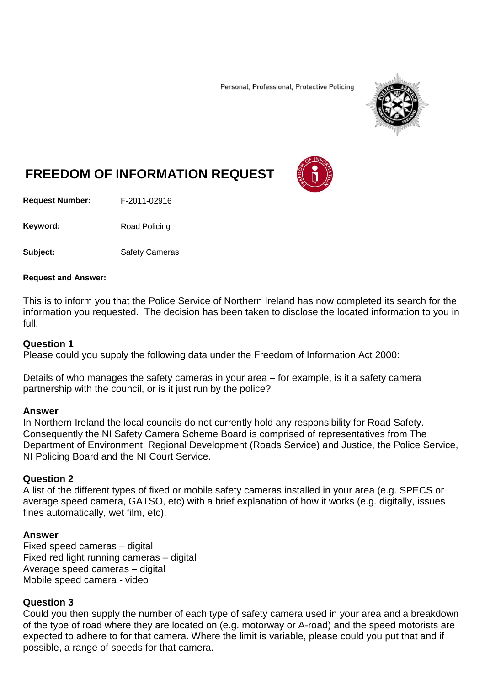Personal, Professional, Protective Policing



# **FREEDOM OF INFORMATION REQUEST**

**Request Number:** F-2011-02916

Keyword: Road Policing

**Subject:** Safety Cameras

### **Request and Answer:**

This is to inform you that the Police Service of Northern Ireland has now completed its search for the information you requested. The decision has been taken to disclose the located information to you in full.

## **Question 1**

Please could you supply the following data under the Freedom of Information Act 2000:

Details of who manages the safety cameras in your area – for example, is it a safety camera partnership with the council, or is it just run by the police?

## **Answer**

In Northern Ireland the local councils do not currently hold any responsibility for Road Safety. Consequently the NI Safety Camera Scheme Board is comprised of representatives from The Department of Environment, Regional Development (Roads Service) and Justice, the Police Service, NI Policing Board and the NI Court Service.

## **Question 2**

A list of the different types of fixed or mobile safety cameras installed in your area (e.g. SPECS or average speed camera, GATSO, etc) with a brief explanation of how it works (e.g. digitally, issues fines automatically, wet film, etc).

## **Answer**

Fixed speed cameras – digital Fixed red light running cameras – digital Average speed cameras – digital Mobile speed camera - video

## **Question 3**

Could you then supply the number of each type of safety camera used in your area and a breakdown of the type of road where they are located on (e.g. motorway or A-road) and the speed motorists are expected to adhere to for that camera. Where the limit is variable, please could you put that and if possible, a range of speeds for that camera.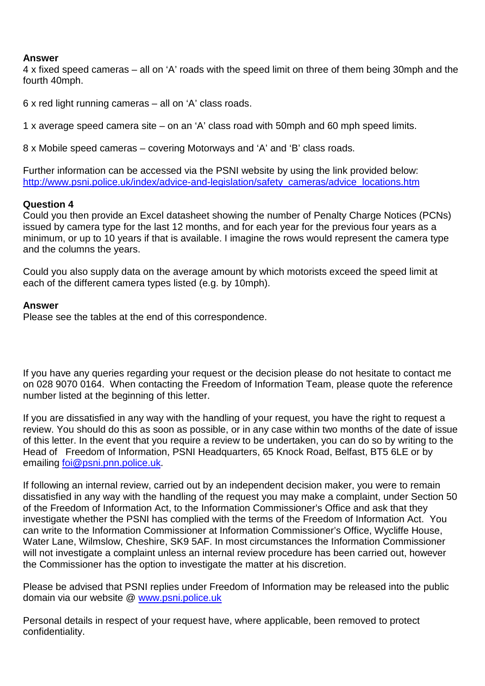## **Answer**

4 x fixed speed cameras – all on 'A' roads with the speed limit on three of them being 30mph and the fourth 40mph.

6 x red light running cameras – all on 'A' class roads.

1 x average speed camera site – on an 'A' class road with 50mph and 60 mph speed limits.

8 x Mobile speed cameras – covering Motorways and 'A' and 'B' class roads.

Further information can be accessed via the PSNI website by using the link provided below: [http://www.psni.police.uk/index/advice-and-legislation/safety\\_cameras/advice\\_locations.htm](http://www.psni.police.uk/index/advice-and-legislation/safety_cameras/advice_locations.htm)

## **Question 4**

Could you then provide an Excel datasheet showing the number of Penalty Charge Notices (PCNs) issued by camera type for the last 12 months, and for each year for the previous four years as a minimum, or up to 10 years if that is available. I imagine the rows would represent the camera type and the columns the years.

Could you also supply data on the average amount by which motorists exceed the speed limit at each of the different camera types listed (e.g. by 10mph).

## **Answer**

Please see the tables at the end of this correspondence.

If you have any queries regarding your request or the decision please do not hesitate to contact me on 028 9070 0164. When contacting the Freedom of Information Team, please quote the reference number listed at the beginning of this letter.

If you are dissatisfied in any way with the handling of your request, you have the right to request a review. You should do this as soon as possible, or in any case within two months of the date of issue of this letter. In the event that you require a review to be undertaken, you can do so by writing to the Head of Freedom of Information, PSNI Headquarters, 65 Knock Road, Belfast, BT5 6LE or by emailing [foi@psni.pnn.police.uk.](mailto:foi@psni.pnn.police.uk)

If following an internal review, carried out by an independent decision maker, you were to remain dissatisfied in any way with the handling of the request you may make a complaint, under Section 50 of the Freedom of Information Act, to the Information Commissioner's Office and ask that they investigate whether the PSNI has complied with the terms of the Freedom of Information Act. You can write to the Information Commissioner at Information Commissioner's Office, Wycliffe House, Water Lane, Wilmslow, Cheshire, SK9 5AF. In most circumstances the Information Commissioner will not investigate a complaint unless an internal review procedure has been carried out, however the Commissioner has the option to investigate the matter at his discretion.

Please be advised that PSNI replies under Freedom of Information may be released into the public domain via our website @ [www.psni.police.uk](http://www.psni.police.uk/)

Personal details in respect of your request have, where applicable, been removed to protect confidentiality.